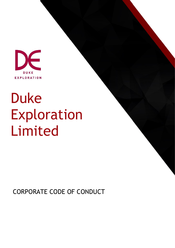

# Duke Exploration Limited

CORPORATE CODE OF CONDUCT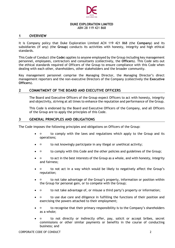

# **DUKE EXPLORATION LIMITED**

ABN 28 119 421 868

#### **1 OVERVIEW**

It is Company policy that Duke Exploration Limited ACN 119 421 868 (the **Company**) and its subsidiaries (if any) (the **Group**) conducts its activities with honesty, integrity and high ethical standards.

This Code of Conduct (the **Code**) applies to anyone employed by the Group including key management personnel, employees, contractors and consultants (collectively, the **Officers**). This Code sets out the ethical standards required of Officers of the Group to ensure compliance with this Code when dealing with each other, shareholders, other stakeholders and the broader community.

Key management personnel comprise the Managing Director, the Managing Director's direct management reporters and the non-executive Directors of the Company (collectively the **Executive Officers**).

# **2 COMMITMENT OF THE BOARD AND EXECUTIVE OFFICERS**

The Board and Executive Officers of the Group expect Officers to act with honesty, integrity and objectivity, striving at all times to enhance the reputation and performance of the Group.

This Code is endorsed by the Board and Executive Officers of the Company, and all Officers of the Group are to apply the principles of this Code.

#### **3 GENERAL PRINCIPLES AND OBLIGATIONS**

The Code imposes the following principles and obligations on Officers of the Group:

- $\bullet$   $\Box$  to comply with the laws and regulations which apply to the Group and its operations;
- $\Box$  to not knowingly participate in any illegal or unethical activity;
- $\Box$  to comply with this Code and the other policies and guidelines of the Group;
- to act in the best interests of the Group as a whole, and with honesty, integrity and fairness;
- to not act in a way which would be likely to negatively affect the Group's reputation;
- to not take advantage of the Group's property, information or position within the Group for personal gain, or to compete with the Group;
- to not take advantage of, or misuse a third party's property or information;
- to use due care and diligence in fulfilling the functions of their position and exercising the powers attached to their employment;
- to recognise that their primary responsibility is to the Company's shareholders as a whole;
- to not directly or indirectly offer, pay, solicit or accept bribes, secret commissions or other similar payments or benefits in the course of conducting business; and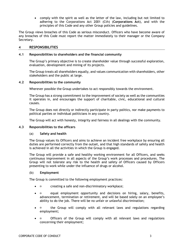• comply with the spirit as well as the letter of the law, including but not limited to adhering to the Corporations Act 2001 (Cth) (**Corporations Act**), and with the principles of this Code and any other Group policies and guidelines.

The Group views breaches of this Code as serious misconduct. Officers who have become aware of any breaches of this Code must report the matter immediately to their manager or the Company Secretary.

# **4 RESPONSIBILITIES**

#### **4.1 Responsibilities to shareholders and the financial community**

The Group's primary objective is to create shareholder value through successful exploration, evaluation, development and mining of its projects.

The Group treats all shareholders equally, and values communication with shareholders, other stakeholders and the public at large.

#### **4.2 Responsibilities to the community**

Wherever possible the Group undertakes to act responsibly towards the environment.

The Group has a strong commitment to the improvement of society as well as the communities it operates in, and encourages the support of charitable, civic, educational and cultural causes.

The Group does not directly or indirectly participate in party politics, nor make payments to political parties or individual politicians in any country.

The Group will act with honesty, integrity and fairness in all dealings with the community.

#### **4.3 Responsibilities to the officers**

#### (a) **Safety and health**

The Group values its Officers and aims to achieve an incident free workplace by ensuring all duties are performed correctly from the outset, and that high standards of safety and health is achieved in all the activities in which the Group is engaged.

The Group will provide a safe and healthy working environment for all Officers, and seeks continuous improvement in all aspects of the Group's work processes and procedures. The Group will not tolerate any risk to the health and safety of Officers caused by Officers presenting to work while under the influence of drugs or alcohol.

#### (b) **Employment**

The Group is committed to the following employment practices:

- $\bullet$   $\Box$  creating a safe and non-discriminatory workplace;
- equal employment opportunity and decisions on hiring, salary, benefits, advancement, termination or retirement, and will be based solely on an employee's ability to do the job. There will be no unfair or unlawful discrimination;
- the Group will comply with all relevant laws and regulations regarding employment;
- Officers of the Group will comply with all relevant laws and regulations concerning their employment;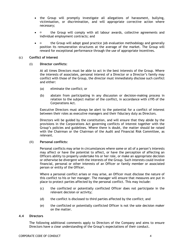- the Group will promptly investigate all allegations of harassment, bullying, victimisation, or discrimination, and will appropriate corrective action where necessary;
- the Group will comply with all labour awards, collective agreements and individual employment contracts; and
- the Group will adopt good practice job evaluation methodology and generally position its remuneration structures at the average of the market. The Group will reward for exceptional performance through the use of appropriate incentives.

#### (c) **Conflict of interest**

#### (i) **Director conflicts:**

At all times Directors must be able to act in the best interests of the Group. Where the interests of associates, personal interest of a Director or a Director's family may conflict with those of the Group, the director must immediately disclose such conflict and either:

- (a) eliminate the conflict; or
- (b) abstain from participating in any discussion or decision-making process in relation to the subject matter of the conflict, in accordance with s195 of the Corporations Act.

Executive Directors must always be alert to the potential for a conflict of interest between their roles as executive managers and their fiduciary duty as Directors.

Directors will be guided by the constitution, and will ensure that they abide by the provisions in the Corporations Act governing conflicts of interest together with the Group's policies and guidelines. Where there is doubt, the matter should be raised with the Chairman or the Chairman of the Audit and Financial Risk Committee, as relevant.

#### (ii) **Personal conflicts:**

Personal conflicts may arise in circumstances where some or all of a person's interests may affect or have the potential to affect, or have the perception of affecting an Officers ability to properly undertake his or her role, or make an appropriate decision or otherwise be divergent with the interests of the Group. Such interests could involve financial, personal or other interests of an Officer or family member or associated person or entity of the Officer.

Where a personal conflict arises or may arise, an Officer must disclose the nature of this conflict to his or her manager. The manager will ensure that measures are put in place to protect parties affected by the personal conflict. This may include:

- (c) the conflicted or potentially conflicted Officer does not participate in the relevant decision or activity;
- (d) the conflict is disclosed to third parties affected by the conflict; and
- (e) the conflicted or potentially conflicted Officer is not the sole decision maker on the matter.

#### **4.4 Directors**

The following additional comments apply to Directors of the Company and aims to ensure Directors have a clear understanding of the Group's expectations of their conduct.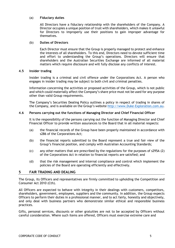#### (a) **Fiduciary duties**

All Directors have a fiduciary relationship with the shareholders of the Company. A Director occupies a unique position of trust with shareholders, which makes it unlawful for Directors to improperly use their positions to gain improper advantage for themselves.

#### (b) **Duties of Directors**

Each Director must ensure that the Group is properly managed to protect and enhance the interests of all shareholders. To this end, Directors need to devote sufficient time and effort to understanding the Group's operations. Directors will ensure that shareholders and the Australian Securities Exchange are informed of all material matters which require disclosure and will fully disclose any conflicts of interest.

#### **4.5 Insider trading**

Insider trading is a criminal and civil offence under the Corporations Act. A person who engages in insider trading may be subject to both civil and criminal penalties.

Information concerning the activities or proposed activities of the Group, which is not public and which could materially affect the Company's share price must not be used for any purpose other than valid Group requirements.

The Company's Securities Dealing Policy outlines a policy in respect of trading in shares of the Company, and is available on the Group's website [http://www.Duke-Exploration.com.au.](http://www.duke-exploration.com.au/)

#### **4.6 Persons carrying out the functions of Managing Director and Chief Financial Officer**

It is the responsibility of the persons carrying out the function of Managing Director and Chief Financial Officer to provide written assurances to the Board that in all material respects:

- (a) the financial records of the Group have been properly maintained in accordance with s286 of the Corporations Act;
- (b) the financial reports submitted to the Board represent a true and fair view of the Group's financial position, and comply with Australian Accounting Standards;
- (c) any other matters that are prescribed by the regulations for the purposes of s295A (2) of the Corporations Act in relation to financial reports are satisfied; and
- (d) that the risk management and internal compliance and control which implement the policies of the Board are operating efficiently and effectively.

#### **5 FAIR TRADING AND DEALING**

The Group, its Officers and representatives are firmly committed to upholding the Competition and Consumer Act 2010 (Cth).

All Officers are expected to behave with integrity in their dealings with customers, competitors, shareholders, government, employees, suppliers and the community. In addition, the Group expects Officers to perform their duties in a professional manner, and to act fairly, honestly and objectively, and only deal with business partners who demonstrate similar ethical and responsible business practices.

Gifts, personal services, discounts or other gratuities are not to be accepted by Officers without careful consideration. Where such items are offered, Officers must exercise extreme care and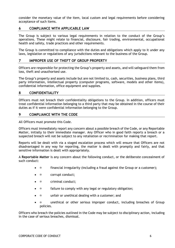consider the monetary value of the item, local custom and legal requirements before considering acceptance of such items.

# **6 COMPLIANCE WITH APPLICABLE LAW**

The Group is subject to various legal requirements in relation to the conduct of the Group's operations. These might relate to financial, disclosure, fair trading, environmental, occupational health and safety, trade practices and other requirements.

The Group is committed to compliance with the duties and obligations which apply to it under any laws, legislation or regulations of any jurisdictions relevant to the business of the Group.

# **7 IMPROPER USE OF THEFT OF GROUP PROPERTY**

Officers are responsible for protecting the Group's property and assets, and will safeguard them from loss, theft and unauthorised use.

The Group's property and assets include but are not limited to, cash, securities, business plans, third party information, intellectual property (computer programs, software, models and other items), confidential information, office equipment and supplies.

## **8 CONFIDENTIALITY**

Officers must not breach their confidentiality obligations to the Group. In addition, officers must treat confidential information belonging to a third party that may be obtained in the course of their duties as if it were confidential information belonging to the Group.

## **9 COMPLIANCE WITH THE CODE**

All Officers must promote this Code.

Officers must immediately report any concern about a possible breach of the Code, or any Reportable Matter, initially to their immediate manager. Any Officer who in good faith reports a breach or a suspected breach will not be subject to any retaliation or recrimination for making that report.

Reports will be dealt with via a staged escalation process which will ensure that Officers are not disadvantaged in any way for reporting, the matter is dealt with promptly and fairly, and that sensitive information is dealt with appropriately.

A **Reportable Matter** is any concern about the following conduct, or the deliberate concealment of such conduct:

- $\Box$  financial irregularity (including a fraud against the Group or a customer);
- corrupt conduct;
- criminal conduct;
- failure to comply with any legal or regulatory obligation;
- unfair or unethical dealing with a customer; and
- unethical or other serious improper conduct, including breaches of Group policies.

Officers who breach the policies outlined in the Code may be subject to disciplinary action, including in the case of serious breaches, dismissal.